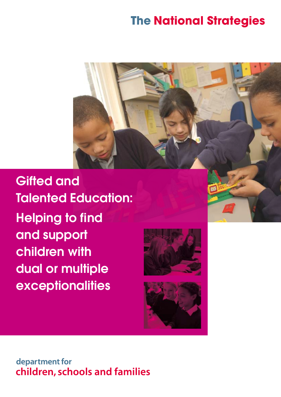

Gifted and Talented Education: Helping to find and support children with dual or multiple exceptionalities





### department for children, schools and families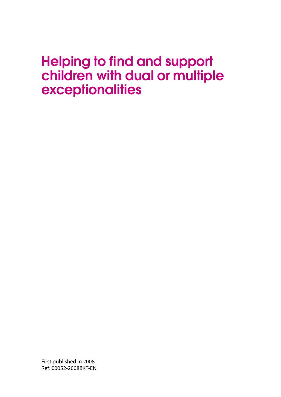### Helping to find and support children with dual or multiple **exceptionalities**

First published in 2008 Ref: 00052-2008BKT-EN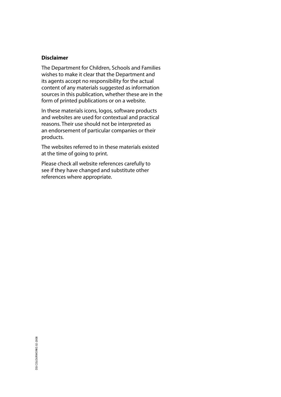### **Disclaimer**

The Department for Children, Schools and Families wishes to make it clear that the Department and its agents accept no responsibility for the actual content of any materials suggested as information sources in this publication, whether these are in the form of printed publications or on a website.

In these materials icons, logos, software products and websites are used for contextual and practical reasons. Their use should not be interpreted as an endorsement of particular companies or their products.

The websites referred to in these materials existed at the time of going to print.

Please check all website references carefully to see if they have changed and substitute other references where appropriate.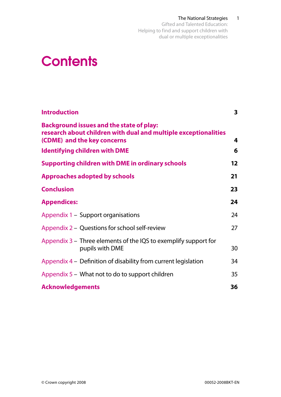# **Contents**

| <b>Introduction</b>                                                                                                                               | 3                 |
|---------------------------------------------------------------------------------------------------------------------------------------------------|-------------------|
| <b>Background issues and the state of play:</b><br>research about children with dual and multiple exceptionalities<br>(CDME) and the key concerns | 4                 |
| <b>Identifying children with DME</b>                                                                                                              | 6                 |
| <b>Supporting children with DME in ordinary schools</b>                                                                                           | $12 \ \mathsf{ }$ |
| <b>Approaches adopted by schools</b>                                                                                                              | 21                |
| <b>Conclusion</b>                                                                                                                                 | 23                |
| <b>Appendices:</b>                                                                                                                                | 24                |
| Appendix 1 – Support organisations                                                                                                                | 24                |
| Appendix 2 – Questions for school self-review                                                                                                     | 27                |
| Appendix 3 - Three elements of the IQS to exemplify support for<br>pupils with DME                                                                | 30                |
| Appendix 4 – Definition of disability from current legislation                                                                                    | 34                |
| Appendix 5 – What not to do to support children                                                                                                   | 35                |
| <b>Acknowledgements</b>                                                                                                                           | 36                |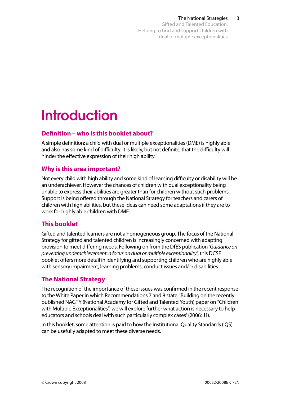Gifted and Talented Education: Helping to find and support children with dual or multiple exceptionalities

# **Introduction**

### **Definition – who is this booklet about?**

A simple definition: a child with dual or multiple exceptionalities (DME) is highly able and also has some kind of difficulty. It is likely, but not definite, that the difficulty will hinder the effective expression of their high ability.

### **Why is this area important?**

Not every child with high ability and some kind of learning difficulty or disability will be an underachiever. However the chances of children with dual exceptionality being unable to express their abilities are greater than for children without such problems. Support is being offered through the National Strategy for teachers and carers of children with high abilities, but these ideas can need some adaptations if they are to work for highly able children with DME.

### **This booklet**

Gifted and talented learners are not a homogeneous group. The focus of the National Strategy for gifted and talented children is increasingly concerned with adapting provision to meet differing needs. Following on from the DfES publication *'Guidance on preventing underachievement: a focus on dual or multiple exceptionality'*, this DCSF booklet offers more detail in identifying and supporting children who are highly able with sensory impairment, learning problems, conduct issues and/or disabilities.

### **The National Strategy**

The recognition of the importance of these issues was confirmed in the recent response to the White Paper in which Recommendations 7 and 8 state: 'Building on the recently published NAGTY (National Academy for Gifted and Talented Youth) paper on "Children with Multiple Exceptionalities", we will explore further what action is necessary to help educators and schools deal with such particularly complex cases' (2006: 11).

In this booklet, some attention is paid to how the Institutional Quality Standards (IQS) can be usefully adapted to meet these diverse needs.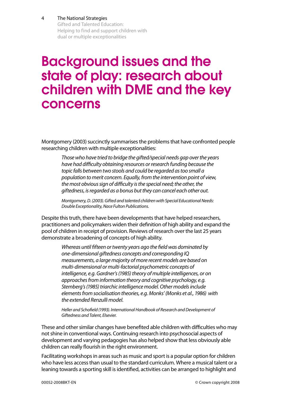Gifted and Talented Education: Helping to find and support children with dual or multiple exceptionalities

### Background issues and the state of play: research about children with DME and the key concerns

Montgomery (2003) succinctly summarises the problems that have confronted people researching children with multiple exceptionalities:

> *Those who have tried to bridge the gifted/special needs gap over the years have had difficulty obtaining resources or research funding because the topic falls between two stools and could be regarded as too small a population to merit concern. Equally, from the intervention point of view, the most obvious sign of difficulty is the special need; the other, the giftedness, is regarded as a bonus but they can cancel each other out.*

*Montgomery, D. (2003). Gifted and talented children with Special Educational Needs: Double Exceptionality, Nace Fulton Publications.*

Despite this truth, there have been developments that have helped researchers, practitioners and policymakers widen their definition of high ability and expand the pool of children in receipt of provision. Reviews of research over the last 25 years demonstrate a broadening of concepts of high ability.

> *Whereas until fifteen or twenty years ago the field was dominated by one-dimensional giftedness concepts and corresponding IQ measurements, a large majority of more recent models are based on multi-dimensional or multi-factorial psychometric concepts of intelligence, e.g. Gardner's (1985) theory of multiple intelligences, or on approaches from information theory and cognitive psychology, e.g. Sternberg's (1985) triarchic intelligence model. Other models include elements from socialisation theories, e.g. Monks' (Monks et al., 1986) with the extended Renzulli model.*

*Heller and Schofield (1993). International Handbook of Research and Development of Giftedness and Talent, Elsevier.* 

These and other similar changes have benefited able children with difficulties who may not shine in conventional ways. Continuing research into psychosocial aspects of development and varying pedagogies has also helped show that less obviously able children can really flourish in the right environment.

Facilitating workshops in areas such as music and sport is a popular option for children who have less access than usual to the standard curriculum. Where a musical talent or a leaning towards a sporting skill is identified, activities can be arranged to highlight and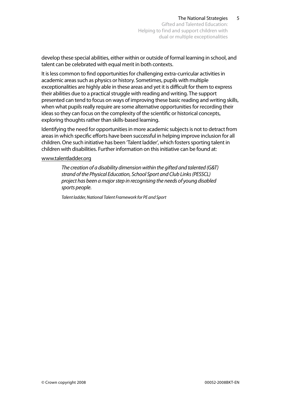5

develop these special abilities, either within or outside of formal learning in school, and talent can be celebrated with equal merit in both contexts.

It is less common to find opportunities for challenging extra-curricular activities in academic areas such as physics or history. Sometimes, pupils with multiple exceptionalities are highly able in these areas and yet it is difficult for them to express their abilities due to a practical struggle with reading and writing. The support presented can tend to focus on ways of improving these basic reading and writing skills, when what pupils really require are some alternative opportunities for recording their ideas so they can focus on the complexity of the scientific or historical concepts, exploring thoughts rather than skills-based learning.

Identifying the need for opportunities in more academic subjects is not to detract from areas in which specific efforts have been successful in helping improve inclusion for all children. One such initiative has been 'Talent ladder', which fosters sporting talent in children with disabilities. Further information on this initiative can be found at:

#### www.talentladder.org

*The creation of a disability dimension within the gifted and talented (G&T) strand of the Physical Education, School Sport and Club Links (PESSCL) project has been a major step in recognising the needs of young disabled sports people.*

*Talent ladder, National Talent Framework for PE and Sport*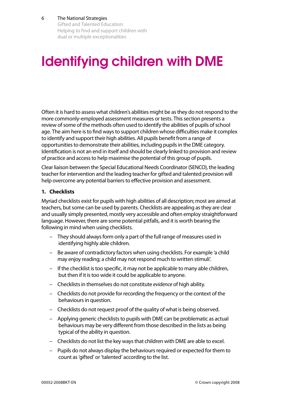Gifted and Talented Education: Helping to find and support children with dual or multiple exceptionalities

# Identifying children with DME

Often it is hard to assess what children's abilities might be as they do not respond to the more commonly-employed assessment measures or tests. This section presents a review of some of the methods often used to identify the abilities of pupils of school age. The aim here is to find ways to support children whose difficulties make it complex to identify and support their high abilities. All pupils benefit from a range of opportunities to demonstrate their abilities, including pupils in the DME category. Identification is not an end in itself and should be clearly linked to provision and review of practice and access to help maximise the potential of this group of pupils.

Clear liaison between the Special Educational Needs Coordinator (SENCO), the leading teacher for intervention and the leading teacher for gifted and talented provision will help overcome any potential barriers to effective provision and assessment.

### **1. Checklists**

Myriad checklists exist for pupils with high abilities of all description; most are aimed at teachers, but some can be used by parents. Checklists are appealing as they are clear and usually simply presented, mostly very accessible and often employ straightforward language. However, there are some potential pitfalls, and it is worth bearing the following in mind when using checklists.

- They should always form only a part of the full range of measures used in identifying highly able children.
- Be aware of contradictory factors when using checklists. For example 'a child may enjoy reading; a child may not respond much to written stimuli'.
- If the checklist is too specific, it may not be applicable to many able children, but then if it is too wide it could be applicable to anyone.
- Checklists in themselves do not constitute *evidence* of high ability.
- Checklists do not provide for recording the frequency or the context of the behaviours in question.
- Checklists do not request proof of the quality of what is being observed.
- Applying generic checklists to pupils with DME can be problematic as actual behaviours may be very different from those described in the lists as being typical of the ability in question.
- Checklists do not list the key ways that children with DME are able to excel.
- Pupils do not always display the behaviours required or expected for them to count as 'gifted' or 'talented' according to the list.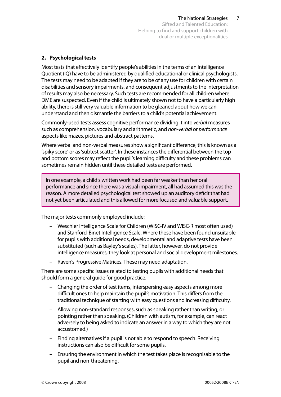7

### **2. Psychological tests**

Most tests that effectively identify people's abilities in the terms of an Intelligence Quotient (IQ) have to be administered by qualified educational or clinical psychologists. The tests may need to be adapted if they are to be of any use for children with certain disabilities and sensory impairments, and consequent adjustments to the interpretation of results may also be necessary. Such tests are recommended for all children where DME are suspected. Even if the child is ultimately shown not to have a particularly high ability, there is still very valuable information to be gleaned about how we can understand and then dismantle the barriers to a child's potential achievement.

Commonly-used tests assess cognitive performance dividing it into *verbal* measures such as comprehension, vocabulary and arithmetic, and *non-verbal* or *performance* aspects like mazes, pictures and abstract patterns.

Where verbal and non-verbal measures show a significant difference, this is known as a 'spiky score' or as 'subtest scatter'. In these instances the differential between the top and bottom scores may reflect the pupil's learning difficulty and these problems can sometimes remain hidden until these detailed tests are performed.

In one example, a child's written work had been far weaker than her oral performance and since there was a visual impairment, all had assumed this was the reason. A more detailed psychological test showed up an auditory deficit that had not yet been articulated and this allowed for more focused and valuable support.

The major tests commonly employed include:

- Weschler Intelligence Scale for Children (WISC-IV and WISC-R most often used) and Stanford-Binet Intelligence Scale. Where these have been found unsuitable for pupils with additional needs, developmental and adaptive tests have been substituted (such as Bayley's scales). The latter, however, do not provide intelligence measures; they look at personal and social development milestones.
- Raven's Progressive Matrices. These may need adaptation.

There are some specific issues related to testing pupils with additional needs that should form a general guide for good practice.

- Changing the order of test items, interspersing easy aspects among more difficult ones to help maintain the pupil's motivation. This differs from the traditional technique of starting with easy questions and increasing difficulty.
- Allowing non-standard responses, such as speaking rather than writing, or pointing rather than speaking. (Children with autism, for example, can react adversely to being asked to indicate an answer in a way to which they are not accustomed.)
- Finding alternatives if a pupil is not able to respond to speech. Receiving instructions can also be difficult for some pupils.
- Ensuring the environment in which the test takes place is recognisable to the pupil and non-threatening.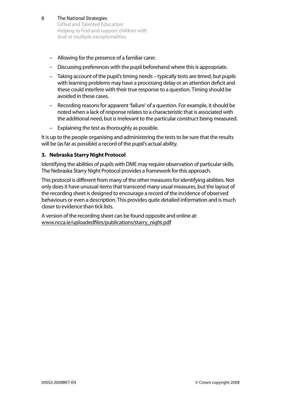> Gifted and Talented Education: Helping to find and support children with dual or multiple exceptionalities

- Allowing for the presence of a familiar carer.
- Discussing preferences with the pupil beforehand where this is appropriate.
- Taking account of the pupil's timing needs typically tests are timed, but pupils with learning problems may have a processing delay or an attention deficit and these could interfere with their true response to a question. Timing should be avoided in these cases.
- Recording reasons for apparent 'failure' of a question. For example, it should be noted when a lack of response relates to a characteristic that is associated with the additional need, but is irrelevant to the particular construct being measured.
- Explaining the test as thoroughly as possible.

It is up to the people organising and administering the tests to be sure that the results will be (as far as possible) a record of the pupil's actual ability.

### **3. Nebraska Starry Night Protocol**

Identifying the abilities of pupils with DME may require observation of particular skills. The Nebraska Starry Night Protocol provides a framework for this approach.

This protocol is different from many of the other measures for identifying abilities. Not only does it have unusual items that transcend many usual measures, but the layout of the recording sheet is designed to encourage a record of the incidence of observed behaviours or even a description. This provides quite detailed information and is much closer to evidence than tick lists.

A version of the recording sheet can be found opposite and online at: www.ncca.ie/uploadedfiles/publications/starry\_night.pdf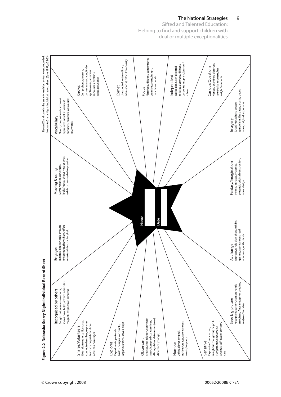The National Strategies Gifted and Talented Education: Helping to find and support children with dual or multiple exceptionalities

9

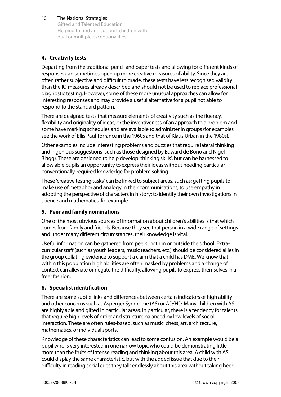Gifted and Talented Education: Helping to find and support children with dual or multiple exceptionalities

### **4. Creativity tests**

Departing from the traditional pencil and paper tests and allowing for different kinds of responses can sometimes open up more creative measures of ability. Since they are often rather subjective and difficult to grade, these tests have less recognised validity than the IQ measures already described and should not be used to replace professional diagnostic testing. However, some of these more unusual approaches can allow for interesting responses and may provide a useful alternative for a pupil not able to respond to the standard pattern.

There are designed tests that measure elements of creativity such as the fluency, flexibility and originality of ideas, or the inventiveness of an approach to a problem and some have marking schedules and are available to administer in groups (for examples see the work of Ellis Paul Torrance in the 1960s and that of Klaus Urban in the 1980s).

Other examples include interesting problems and puzzles that require lateral thinking and ingenious suggestions (such as those designed by Edward de Bono and Nigel Blagg). These are designed to help develop 'thinking skills', but can be harnessed to allow able pupils an opportunity to express their ideas without needing particular conventionally-required knowledge for problem solving.

These 'creative testing tasks' can be linked to subject areas, such as: getting pupils to make use of metaphor and analogy in their communications; to use empathy in adopting the perspective of characters in history; to identify their own investigations in science and mathematics, for example.

### **5. Peer and family nominations**

One of the most obvious sources of information about children's abilities is that which comes from family and friends. Because they see that person in a wide range of settings and under many different circumstances, their knowledge is vital.

Useful information can be gathered from peers, both in or outside the school. Extracurricular staff (such as youth leaders, music teachers, etc.) should be considered allies in the group collating evidence to support a claim that a child has DME. We know that within this population high abilities are often masked by problems and a change of context can alleviate or negate the difficulty, allowing pupils to express themselves in a freer fashion.

### **6. Specialist identification**

There are some subtle links and differences between certain indicators of high ability and other concerns such as Asperger Syndrome (AS) or AD/HD. Many children with AS are highly able and gifted in particular areas. In particular, there is a tendency for talents that require high levels of order and structure balanced by low levels of social interaction. These are often rules-based, such as music, chess, art, architecture, mathematics, or individual sports.

Knowledge of these characteristics can lead to some confusion. An example would be a pupil who is very interested in one narrow topic who could be demonstrating little more than the fruits of intense reading and thinking about this area. A child with AS could display the same characteristic, but with the added issue that due to their difficulty in reading social cues they talk endlessly about this area without taking heed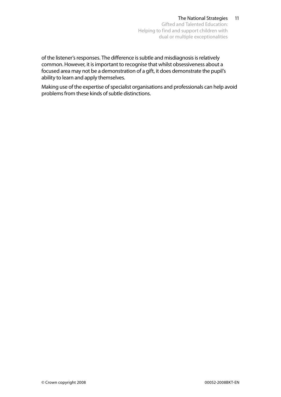of the listener's responses. The difference is subtle and misdiagnosis is relatively common. However, it is important to recognise that whilst obsessiveness about a focused area may not be a demonstration of a gift, it does demonstrate the pupil's ability to learn and apply themselves.

Making use of the expertise of specialist organisations and professionals can help avoid problems from these kinds of subtle distinctions.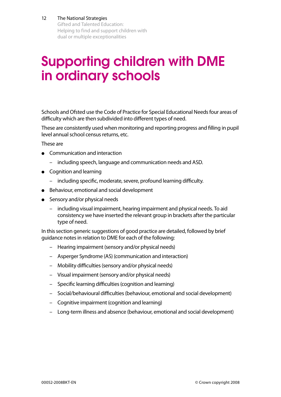Gifted and Talented Education: Helping to find and support children with dual or multiple exceptionalities

## Supporting children with DME in ordinary schools

Schools and Ofsted use the Code of Practice for Special Educational Needs four areas of difficulty which are then subdivided into different types of need.

These are consistently used when monitoring and reporting progress and filling in pupil level annual school census returns, etc.

These are

- Communication and interaction
	- including speech, language and communication needs and ASD.
- Cognition and learning
	- including specific, moderate, severe, profound learning difficulty.
- Behaviour, emotional and social development
- Sensory and/or physical needs
	- including visual impairment, hearing impairment and physical needs. To aid consistency we have inserted the relevant group in brackets after the particular type of need.

In this section generic suggestions of good practice are detailed, followed by brief guidance notes in relation to DME for each of the following:

- Hearing impairment (sensory and/or physical needs)
- Asperger Syndrome (AS) (communication and interaction)
- Mobility difficulties (sensory and/or physical needs)
- Visual impairment (sensory and/or physical needs)
- Specific learning difficulties (cognition and learning)
- Social/behavioural difficulties (behaviour, emotional and social development)
- Cognitive impairment (cognition and learning)
- Long-term illness and absence (behaviour, emotional and social development)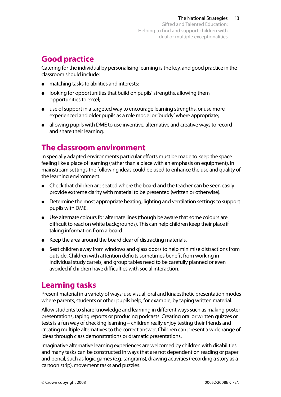Gifted and Talented Education: Helping to find and support children with dual or multiple exceptionalities

### **Good practice**

Catering for the individual by personalising learning is the key, and good practice in the classroom should include:

- matching tasks to abilities and interests;
- looking for opportunities that build on pupils' strengths, allowing them opportunities to excel;
- use of support in a targeted way to encourage learning strengths, or use more experienced and older pupils as a role model or 'buddy' where appropriate;
- allowing pupils with DME to use inventive, alternative and creative ways to record and share their learning.

### **The classroom environment**

In specially adapted environments particular efforts must be made to keep the space feeling like a place of learning (rather than a place with an emphasis on equipment). In mainstream settings the following ideas could be used to enhance the use and quality of the learning environment.

- Check that children are seated where the board and the teacher can be seen easily provide extreme clarity with material to be presented (written or otherwise).
- Determine the most appropriate heating, lighting and ventilation settings to support pupils with DME.
- Use alternate colours for alternate lines (though be aware that some colours are difficult to read on white backgrounds). This can help children keep their place if taking information from a board.
- Keep the area around the board clear of distracting materials.
- Seat children away from windows and glass doors to help minimise distractions from outside. Children with attention deficits sometimes benefit from working in individual study carrels, and group tables need to be carefully planned or even avoided if children have difficulties with social interaction.

### **Learning tasks**

Present material in a variety of ways; use visual, oral and kinaesthetic presentation modes where parents, students or other pupils help, for example, by taping written material.

Allow students to share knowledge and learning in different ways such as making poster presentations, taping reports or producing podcasts. Creating oral or written quizzes or tests is a fun way of checking learning – children really enjoy testing their friends and creating multiple alternatives to the correct answer. Children can present a wide range of ideas through class demonstrations or dramatic presentations.

Imaginative alternative learning experiences are welcomed by children with disabilities and many tasks can be constructed in ways that are not dependent on reading or paper and pencil, such as logic games (e.g. tangrams), drawing activities (recording a story as a cartoon strip), movement tasks and puzzles.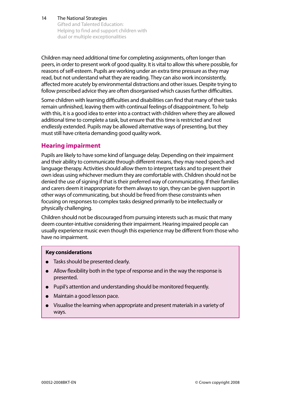> Gifted and Talented Education: Helping to find and support children with dual or multiple exceptionalities

Children may need additional time for completing assignments, often longer than peers, in order to present work of good quality. It is vital to allow this where possible, for reasons of self-esteem. Pupils are working under an extra time pressure as they may read, but not understand what they are reading. They can also work inconsistently, affected more acutely by environmental distractions and other issues. Despite trying to follow prescribed advice they are often disorganised which causes further difficulties.

Some children with learning difficulties and disabilities can find that many of their tasks remain unfinished, leaving them with continual feelings of disappointment. To help with this, it is a good idea to enter into a contract with children where they are allowed additional time to complete a task, but ensure that this time is restricted and not endlessly extended. Pupils may be allowed alternative ways of presenting, but they must still have criteria demanding good quality work.

### **Hearing impairment**

Pupils are likely to have some kind of language delay. Depending on their impairment and their ability to communicate through different means, they may need speech and language therapy. Activities should allow them to interpret tasks and to present their own ideas using whichever medium they are comfortable with. Children should not be denied the use of signing if that is their preferred way of communicating. If their families and carers deem it inappropriate for them always to sign, they can be given support in other ways of communicating, but should be freed from these constraints when focusing on responses to complex tasks designed primarily to be intellectually or physically challenging.

Children should not be discouraged from pursuing interests such as music that many deem counter-intuitive considering their impairment. Hearing impaired people can usually experience music even though this experience may be different from those who have no impairment.

### **Key considerations**

- Tasks should be presented clearly.
- Allow flexibility both in the type of response and in the way the response is presented.
- Pupil's attention and understanding should be monitored frequently.
- Maintain a good lesson pace.
- Visualise the learning when appropriate and present materials in a variety of ways.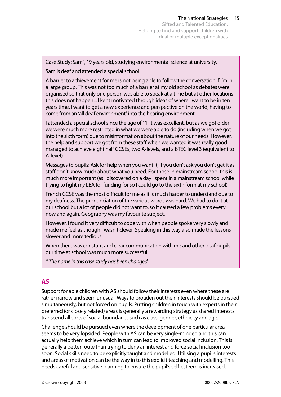Case Study: Sam\*, 19 years old, studying environmental science at university.

Sam is deaf and attended a special school.

A barrier to achievement for me is not being able to follow the conversation if I'm in a large group. This was not too much of a barrier at my old school as debates were organised so that only one person was able to speak at a time but at other locations this does not happen... I kept motivated through ideas of where I want to be in ten years time. I want to get a new experience and perspective on the world, having to come from an 'all deaf environment' into the hearing environment.

I attended a special school since the age of 11. It was excellent, but as we got older we were much more restricted in what we were able to do (including when we got into the sixth form) due to misinformation about the nature of our needs. However, the help and support we got from these staff when we wanted it was really good. I managed to achieve eight half GCSEs, two A-levels, and a BTEC level 3 (equivalent to A-level).

Messages to pupils: Ask for help when you want it; if you don't ask you don't get it as staff don't know much about what you need. For those in mainstream school this is much more important (as I discovered on a day I spent in a mainstream school while trying to fight my LEA for funding for so I could go to the sixth form at my school).

French GCSE was the most difficult for me as it is much harder to understand due to my deafness. The pronunciation of the various words was hard. We had to do it at our school but a lot of people did not want to, so it caused a few problems every now and again. Geography was my favourite subject.

However, I found it very difficult to cope with when people spoke very slowly and made me feel as though I wasn't clever. Speaking in this way also made the lessons slower and more tedious.

When there was constant and clear communication with me and other deaf pupils our time at school was much more successful.

*\* The name in this case study has been changed*

### **AS**

Support for able children with AS should follow their interests even where these are rather narrow and seem unusual. Ways to broaden out their interests should be pursued simultaneously, but not forced on pupils. Putting children in touch with experts in their preferred (or closely related) areas is generally a rewarding strategy as shared interests transcend all sorts of social boundaries such as class, gender, ethnicity and age.

Challenge should be pursued even where the development of one particular area seems to be very lopsided. People with AS can be very single-minded and this can actually help them achieve which in turn can lead to improved social inclusion. This is generally a better route than trying to deny an interest and force social inclusion too soon. Social skills need to be explicitly taught and modelled. Utilising a pupil's interests and areas of motivation can be the way in to this explicit teaching and modelling. This needs careful and sensitive planning to ensure the pupil's self-esteem is increased.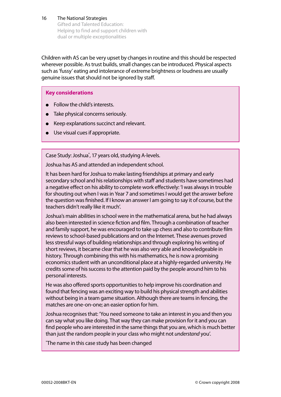16 The National Strategies Gifted and Talented Education: Helping to find and support children with dual or multiple exceptionalities

Children with AS can be very upset by changes in routine and this should be respected wherever possible. As trust builds, small changes can be introduced. Physical aspects such as 'fussy' eating and intolerance of extreme brightness or loudness are usually genuine issues that should not be ignored by staff.

### **Key considerations**

- Follow the child's interests.
- Take physical concerns seriously.
- Keep explanations succinct and relevant.
- Use visual cues if appropriate.

Case Study: Joshua\* , 17 years old, studying A-levels.

Joshua has AS and attended an independent school.

It has been hard for Joshua to make lasting friendships at primary and early secondary school and his relationships with staff and students have sometimes had a negative effect on his ability to complete work effectively: 'I was always in trouble for shouting out when I was in Year 7 and sometimes I would get the answer before the question was finished. If I know an answer I am going to say it of course, but the teachers didn't really like it much'.

Joshua's main abilities in school were in the mathematical arena, but he had always also been interested in science fiction and film. Through a combination of teacher and family support, he was encouraged to take up chess and also to contribute film reviews to school-based publications and on the Internet. These avenues proved less stressful ways of building relationships and through exploring his writing of short reviews, it became clear that he was also very able and knowledgeable in history. Through combining this with his mathematics, he is now a promising economics student with an unconditional place at a highly-regarded university. He credits some of his success to the attention paid by the people around him to his personal interests.

He was also offered sports opportunities to help improve his coordination and found that fencing was an exciting way to build his physical strength and abilities without being in a team game situation. Although there are teams in fencing, the matches are one-on-one; an easier option for him.

Joshua recognises that: 'You need someone to take an interest in you and then you can say what you like doing. That way they can make provision for it and you can find people who are interested in the same things that you are, which is much better than just the random people in your class who might not *understand* you'.

\* The name in this case study has been changed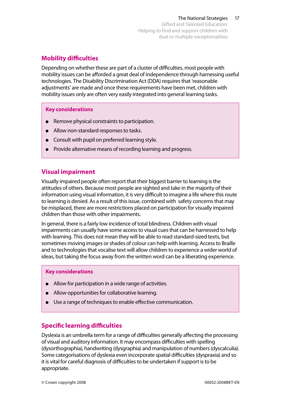### **Mobility difficulties**

Depending on whether these are part of a cluster of difficulties, most people with mobility issues can be afforded a great deal of independence through harnessing useful technologies. The Disability Discrimination Act (DDA) requires that 'reasonable adjustments' are made and once these requirements have been met, children with mobility issues only are often very easily integrated into general learning tasks.

### **Key considerations**

- Remove physical constraints to participation.
- Allow non-standard responses to tasks.
- Consult with pupil on preferred learning style.
- Provide alternative means of recording learning and progress.

### **Visual impairment**

Visually impaired people often report that their biggest barrier to learning is the attitudes of others. Because most people are sighted and take in the majority of their information using visual information, it is very difficult to imagine a life where this route to learning is denied. As a result of this issue, combined with safety concerns that may be misplaced, there are more restrictions placed on participation for visually impaired children than those with other impairments.

In general, there is a fairly low incidence of total blindness. Children with visual impairments can usually have some access to visual cues that can be harnessed to help with learning. This does not mean they will be able to read standard-sized texts, but sometimes moving images or shades of colour can help with learning. Access to Braille and to technologies that vocalise text will allow children to experience a wider world of ideas, but taking the focus away from the written word can be a liberating experience.

### **Key considerations**

- Allow for participation in a wide range of activities.
- Allow opportunities for collaborative learning.
- Use a range of techniques to enable effective communication.

### **Specific learning difficulties**

Dyslexia is an umbrella term for a range of difficulties generally affecting the processing of visual and auditory information. It may encompass difficulties with spelling (dysorthographia), handwriting (dysgraphia) and manipulation of numbers (dyscalculia). Some categorisations of dyslexia even incorporate spatial difficulties (dyspraxia) and so it is vital for careful diagnosis of difficulties to be undertaken if support is to be appropriate.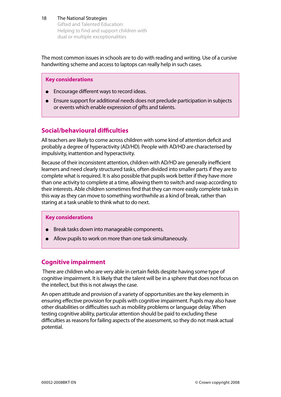18 The National Strategies Gifted and Talented Education: Helping to find and support children with dual or multiple exceptionalities

The most common issues in schools are to do with reading and writing. Use of a cursive handwriting scheme and access to laptops can really help in such cases.

### **Key considerations**

- Encourage different ways to record ideas.
- Ensure support for additional needs does not preclude participation in subjects or events which enable expression of gifts and talents.

### **Social/behavioural difficulties**

All teachers are likely to come across children with some kind of attention deficit and probably a degree of hyperactivity (AD/HD). People with AD/HD are characterised by impulsivity, inattention and hyperactivity.

Because of their inconsistent attention, children with AD/HD are generally inefficient learners and need clearly structured tasks, often divided into smaller parts if they are to complete what is required. It is also possible that pupils work better if they have more than one activity to complete at a time, allowing them to switch and swap according to their interests. Able children sometimes find that they can more easily complete tasks in this way as they can move to something worthwhile as a kind of break, rather than staring at a task unable to think what to do next.

### **Key considerations**

- Break tasks down into manageable components.
- Allow pupils to work on more than one task simultaneously.

### **Cognitive impairment**

 There are children who are very able in certain fields despite having some type of cognitive impairment. It is likely that the talent will be in a sphere that does not focus on the intellect, but this is not always the case.

An open attitude and provision of a variety of opportunities are the key elements in ensuring effective provision for pupils with cognitive impairment. Pupils may also have other disabilities or difficulties such as mobility problems or language delay. When testing cognitive ability, particular attention should be paid to excluding these difficulties as reasons for failing aspects of the assessment, so they do not mask actual potential.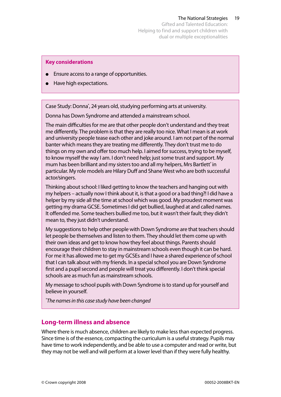Gifted and Talented Education: Helping to find and support children with dual or multiple exceptionalities

### **Key considerations**

- Ensure access to a range of opportunities.
- Have high expectations.

Case Study: Donna\* , 24 years old, studying performing arts at university.

Donna has Down Syndrome and attended a mainstream school.

The main difficulties for me are that other people don't understand and they treat me differently. The problem is that they are really too nice. What I mean is at work and university people tease each other and joke around. I am not part of the normal banter which means they are treating me differently. They don't trust me to do things on my own and offer too much help. I aimed for success, trying to be myself, to know myself the way I am. I don't need help; just some trust and support. My mum has been brilliant and my sisters too and all my helpers, Mrs Bartlett*\** in particular. My role models are Hilary Duff and Shane West who are both successful actor/singers.

Thinking about school: I liked getting to know the teachers and hanging out with my helpers – actually now I think about it, is that a good or a bad thing?! I did have a helper by my side all the time at school which was good. My proudest moment was getting my drama GCSE. Sometimes I did get bullied, laughed at and called names. It offended me. Some teachers bullied me too, but it wasn't their fault; they didn't mean to, they just didn't understand.

My suggestions to help other people with Down Syndrome are that teachers should let people be themselves and listen to them. They should let them come up with their own ideas and get to know how they feel about things. Parents should encourage their children to stay in mainstream schools even though it can be hard. For me it has allowed me to get my GCSEs and I have a shared experience of school that I can talk about with my friends. In a special school you are Down Syndrome first and a pupil second and people will treat you differently. I don't think special schools are as much fun as mainstream schools.

My message to school pupils with Down Syndrome is to stand up for yourself and believe in yourself.

*\* The names in this case study have been changed*

### **Long-term illness and absence**

Where there is much absence, children are likely to make less than expected progress. Since time is of the essence, compacting the curriculum is a useful strategy. Pupils may have time to work independently, and be able to use a computer and read or write, but they may not be well and will perform at a lower level than if they were fully healthy.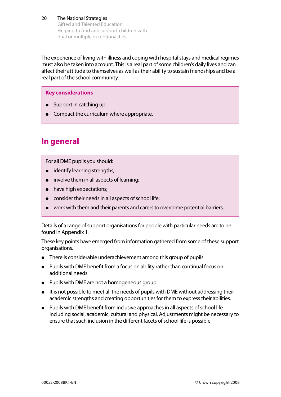20 The National Strategies Gifted and Talented Education: Helping to find and support children with dual or multiple exceptionalities

The experience of living with illness and coping with hospital stays and medical regimes must also be taken into account. This is a real part of some children's daily lives and can affect their attitude to themselves as well as their ability to sustain friendships and be a real part of the school community.

### **Key considerations**

- Support in catching up.
- Compact the curriculum where appropriate.

### **In general**

For all DME pupils you should:

- identify learning strengths;
- involve them in all aspects of learning;
- have high expectations;
- consider their needs in all aspects of school life;
- work with them and their parents and carers to overcome potential barriers.

Details of a range of support organisations for people with particular needs are to be found in Appendix 1.

These key points have emerged from information gathered from some of these support organisations.

- There is considerable underachievement among this group of pupils.
- Pupils with DME benefit from a focus on ability rather than continual focus on additional needs.
- Pupils with DME are not a homogeneous group.
- It is not possible to meet all the needs of pupils with DME without addressing their academic strengths and creating opportunities for them to express their abilities.
- Pupils with DME benefit from inclusive approaches in all aspects of school life including social, academic, cultural and physical. Adjustments might be necessary to ensure that such inclusion in the different facets of school life is possible.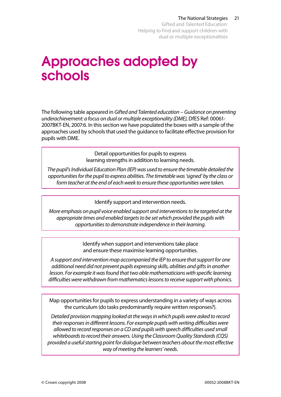Gifted and Talented Education: Helping to find and support children with dual or multiple exceptionalities

## Approaches adopted by schools

The following table appeared in *Gifted and Talented education* – *Guidance on preventing underachievement: a focus on dual or multiple exceptionality (DME)*, DfES Ref: 00061- 2007BKT-EN, 2007:6. In this section we have populated the boxes with a sample of the approaches used by schools that used the guidance to facilitate effective provision for pupils with DME.

> Detail opportunities for pupils to express learning strengths in addition to learning needs.

*The pupil's Individual Education Plan (IEP) was used to ensure the timetable detailed the opportunities for the pupil to express abilities. The timetable was 'signed' by the class or form teacher at the end of each week to ensure these opportunities were taken.*

Identify support and intervention needs.

*More emphasis on pupil voice enabled support and interventions to be targeted at the appropriate times and enabled targets to be set which provided the pupils with opportunities to demonstrate independence in their learning.*

> Identify when support and interventions take place and ensure these maximise learning opportunities.

*A support and intervention map accompanied the IEP to ensure that support for one additional need did not prevent pupils expressing skills, abilities and gifts in another lesson. For example it was found that two able mathematicians with specific learning difficulties were withdrawn from mathematics lessons to receive support with phonics.*

Map opportunities for pupils to express understanding in a variety of ways across the curriculum (do tasks predominantly require written responses?).

*Detailed provision mapping looked at the ways in which pupils were asked to record their responses in different lessons. For example pupils with writing difficulties were allowed to record responses on a CD and pupils with speech difficulties used small whiteboards to record their answers. Using the Classroom Quality Standards (CQS) provided a useful starting point for dialogue between teachers about the most effective way of meeting the learners' needs.*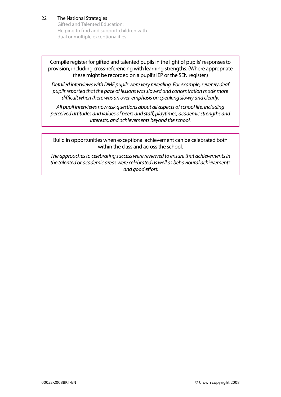Gifted and Talented Education: Helping to find and support children with dual or multiple exceptionalities

Compile register for gifted and talented pupils in the light of pupils' responses to provision, including cross-referencing with learning strengths. (Where appropriate these might be recorded on a pupil's IEP or the SEN register.)

*Detailed interviews with DME pupils were very revealing. For example, severely deaf pupils reported that the pace of lessons was slowed and concentration made more difficult when there was an over-emphasis on speaking slowly and clearly.*

*All pupil interviews now ask questions about all aspects of school life, including perceived attitudes and values of peers and staff, playtimes, academic strengths and interests, and achievements beyond the school.*

Build in opportunities when exceptional achievement can be celebrated both within the class and across the school.

*The approaches to celebrating success were reviewed to ensure that achievements in the talented or academic areas were celebrated as well as behavioural achievements and good effort.*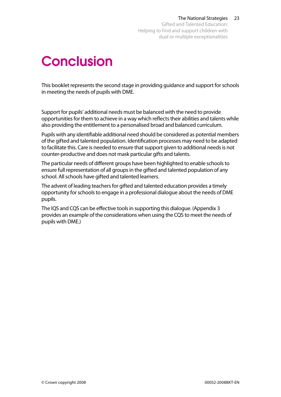Gifted and Talented Education: Helping to find and support children with dual or multiple exceptionalities

# **Conclusion**

This booklet represents the second stage in providing guidance and support for schools in meeting the needs of pupils with DME.

Support for pupils' additional needs must be balanced with the need to provide opportunities for them to achieve in a way which reflects their abilities and talents while also providing the entitlement to a personalised broad and balanced curriculum.

Pupils with any identifiable additional need should be considered as potential members of the gifted and talented population. Identification processes may need to be adapted to facilitate this. Care is needed to ensure that support given to additional needs is not counter-productive and does not mask particular gifts and talents.

The particular needs of different groups have been highlighted to enable schools to ensure full representation of all groups in the gifted and talented population of any school. All schools have gifted and talented learners.

The advent of leading teachers for gifted and talented education provides a timely opportunity for schools to engage in a professional dialogue about the needs of DME pupils.

The IQS and CQS can be effective tools in supporting this dialogue. (Appendix 3 provides an example of the considerations when using the CQS to meet the needs of pupils with DME.)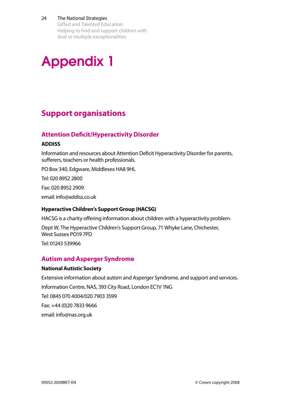Gifted and Talented Education: Helping to find and support children with dual or multiple exceptionalities

# Appendix 1

### **Support organisations**

### **Attention Deficit/Hyperactivity Disorder**

### **ADDISS**

Information and resources about Attention Deficit Hyperactivity Disorder for parents, sufferers, teachers or health professionals.

PO Box 340, Edgware, Middlesex HA8 9HL

Tel: 020 8952 2800

Fax: 020 8952 2909

email: info@addiss.co.uk

### **Hyperactive Children's Support Group (HACSG)**

HACSG is a charity offering information about children with a hyperactivity problem. Dept W, The Hyperactive Children's Support Group, 71 Whyke Lane, Chichester, West Sussex PO19 7PD

Tel: 01243 539966

### **Autism and Asperger Syndrome**

### **National Autistic Society**

Extensive information about autism and Asperger Syndrome, and support and services. Information Centre, NAS, 393 City Road, London EC1V 1NG Tel: 0845 070 4004/020 7903 3599 Fax: +44 (0)20 7833 9666 email: info@nas.org.uk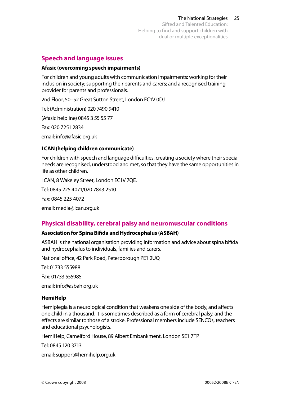Gifted and Talented Education: Helping to find and support children with dual or multiple exceptionalities

### **Speech and language issues**

### **Afasic (overcoming speech impairments)**

For children and young adults with communication impairments: working for their inclusion in society; supporting their parents and carers; and a recognised training provider for parents and professionals.

2nd Floor, 50–52 Great Sutton Street, London EC1V 0DJ

Tel: (Administration) 020 7490 9410

(Afasic helpline) 0845 3 55 55 77

Fax: 020 7251 2834

email: info@afasic.org.uk

### **I CAN (helping children communicate)**

For children with speech and language difficulties, creating a society where their special needs are recognised, understood and met, so that they have the same opportunities in life as other children.

I CAN, 8 Wakeley Street, London EC1V 7QE.

Tel: 0845 225 4071/020 7843 2510

Fax: 0845 225 4072

email: media@ican.org.uk

### **Physical disability, cerebral palsy and neuromuscular conditions**

### **Association for Spina Bifida and Hydrocephalus (ASBAH)**

ASBAH is the national organisation providing information and advice about spina bifida and hydrocephalus to individuals, families and carers.

National office, 42 Park Road, Peterborough PE1 2UQ

Tel: 01733 555988

Fax: 01733 555985

email: info@asbah.org.uk

### **HemiHelp**

Hemiplegia is a neurological condition that weakens one side of the body, and affects one child in a thousand. It is sometimes described as a form of cerebral palsy, and the effects are similar to those of a stroke. Professional members include SENCOs, teachers and educational psychologists.

HemiHelp, Camelford House, 89 Albert Embankment, London SE1 7TP

Tel: 0845 120 3713

email: support@hemihelp.org.uk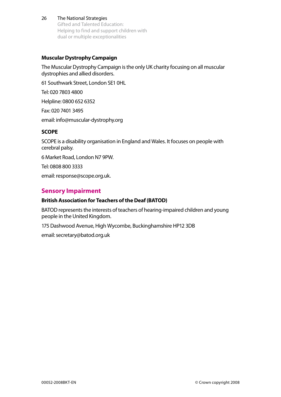Gifted and Talented Education: Helping to find and support children with dual or multiple exceptionalities

### **Muscular Dystrophy Campaign**

The Muscular Dystrophy Campaign is the only UK charity focusing on all muscular dystrophies and allied disorders.

61 Southwark Street, London SE1 0HL

Tel: 020 7803 4800

Helpline: 0800 652 6352

Fax: 020 7401 3495

email: info@muscular-dystrophy.org

### **SCOPE**

SCOPE is a disability organisation in England and Wales. It focuses on people with cerebral palsy.

6 Market Road, London N7 9PW.

Tel: 0808 800 3333

email: response@scope.org.uk.

### **Sensory Impairment**

### **British Association for Teachers of the Deaf (BATOD)**

BATOD represents the interests of teachers of hearing-impaired children and young people in the United Kingdom.

175 Dashwood Avenue, High Wycombe, Buckinghamshire HP12 3DB

email: secretary@batod.org.uk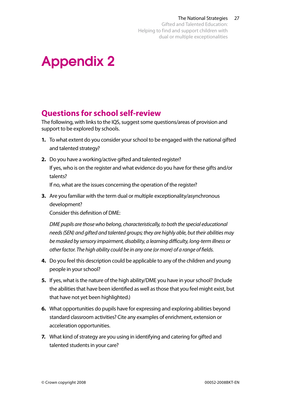Gifted and Talented Education: Helping to find and support children with dual or multiple exceptionalities

# Appendix 2

### **Questions for school self-review**

The following, with links to the IQS, suggest some questions/areas of provision and support to be explored by schools.

- **1.** To what extent do you consider your school to be engaged with the national gifted and talented strategy?
- **2.** Do you have a working/active gifted and talented register? If yes, who is on the register and what evidence do you have for these gifts and/or talents? If no, what are the issues concerning the operation of the register?
- **3.** Are you familiar with the term dual or multiple exceptionality/asynchronous development?

Consider this definition of DME:

*DME pupils are those who belong, characteristically, to both the special educational needs (SEN) and gifted and talented groups; they are highly able, but their abilities may be masked by sensory impairment, disability, a learning difficulty, long-term illness or other factor. The high ability could be in any one (or more) of a range of fields.*

- **4.** Do you feel this description could be applicable to any of the children and young people in your school?
- **5.** If yes, what is the nature of the high ability/DME you have in your school? (Include the abilities that have been identified as well as those that you feel might exist, but that have not yet been highlighted.)
- **6.** What opportunities do pupils have for expressing and exploring abilities beyond standard classroom activities? Cite any examples of enrichment, extension or acceleration opportunities.
- **7.** What kind of strategy are you using in identifying and catering for gifted and talented students in your care?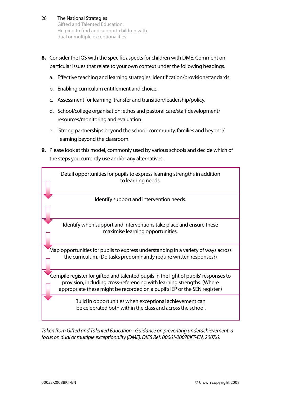- 28 The National Strategies Gifted and Talented Education: Helping to find and support children with dual or multiple exceptionalities
- **8.** Consider the IQS with the specific aspects for children with DME. Comment on particular issues that relate to your own context under the following headings.
	- a. Effective teaching and learning strategies: identification/provision/standards.
	- b. Enabling curriculum entitlement and choice.
	- c. Assessment for learning: transfer and transition/leadership/policy.
	- d. School/college organisation: ethos and pastoral care/staff development/ resources/monitoring and evaluation.
	- e. Strong partnerships beyond the school: community, families and beyond/ learning beyond the classroom.
- **9.** Please look at this model, commonly used by various schools and decide which of the steps you currently use and/or any alternatives.

| Detail opportunities for pupils to express learning strengths in addition<br>to learning needs.                                                                                                                                              |
|----------------------------------------------------------------------------------------------------------------------------------------------------------------------------------------------------------------------------------------------|
| Identify support and intervention needs.                                                                                                                                                                                                     |
| Identify when support and interventions take place and ensure these<br>maximise learning opportunities.                                                                                                                                      |
| Map opportunities for pupils to express understanding in a variety of ways across<br>the curriculum. (Do tasks predominantly require written responses?)                                                                                     |
| Compile register for gifted and talented pupils in the light of pupils' responses to<br>provision, including cross-referencing with learning strengths. (Where<br>appropriate these might be recorded on a pupil's IEP or the SEN register.) |
| Build in opportunities when exceptional achievement can<br>be celebrated both within the class and across the school.                                                                                                                        |

*Taken from Gifted and Talented Education - Guidance on preventing underachievement: a focus on dual or multiple exceptionality (DME), DfES Ref: 00061-2007BKT-EN, 2007:6.*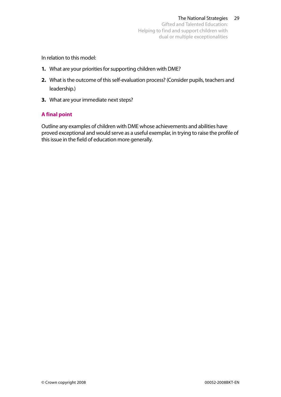Gifted and Talented Education: Helping to find and support children with dual or multiple exceptionalities

In relation to this model:

- **1.** What are your priorities for supporting children with DME?
- **2.** What is the outcome of this self-evaluation process? (Consider pupils, teachers and leadership.)
- **3.** What are your immediate next steps?

### **A final point**

Outline any examples of children with DME whose achievements and abilities have proved exceptional and would serve as a useful exemplar, in trying to raise the profile of this issue in the field of education more generally.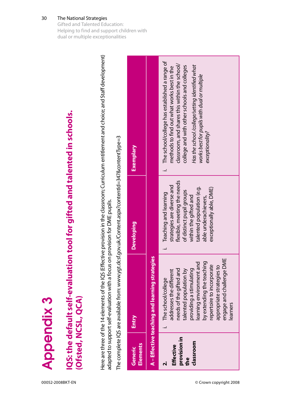Gifted and Talented Education: Helping to find and support children with dual or multiple exceptionalities

**Appendix 3** Appendix 3

# **IQS: the default self-evaluation tool for gifted and talented in schools.**  QS: the default self-evaluation tool for gifted and talented in schools. **(Ofsted, NCSL, QCA)** (Ofsted, NCSL, QCA)

Here are three of the 14 elements of the IQS (Effective provision in the classroom; Curriculum entitlement and choice; and Staff development) Here are three of the 14 elements of the IQS (Effective provision in the classroom; Curriculum entitlement and choice; and Staff development) adapted to support self-evaluation with a focus on provision for DME pupils. adapted to support self-evaluation with a focus on provision for DME pupils.

The complete IQS are available from: www.ygt.dcsf.gov.uk/Content.aspx?contentId=347&contentType=3 The complete IQS are available from: www.ygt.dcsf.gov.uk/Content.aspx?contentId=347&contentType=3

|                            | The school/college has established a range of<br>classroom, and shares this within the school/<br>Has the school/college/setting identified what<br>college and with other schools and colleges<br>methods to find out what works best in the<br>works best for pupils with dual or multiple                                                          |
|----------------------------|-------------------------------------------------------------------------------------------------------------------------------------------------------------------------------------------------------------------------------------------------------------------------------------------------------------------------------------------------------|
| Exemplary                  | exceptionality?                                                                                                                                                                                                                                                                                                                                       |
| <b>Developing</b>          | flexible, meeting the needs<br>strategies are diverse and<br>talented population (e.g.<br>exceptionally able, DME)<br>of distinct pupil groups<br>Teaching and learning<br>within the gifted and<br>able underachievers,                                                                                                                              |
| Entry                      | A - Effective teaching and learning strategies<br><b>DME</b><br>by extending the teaching<br>learning environment and<br>repertoire to incorporate<br>appropriate strategies to<br>addresses the different<br>needs of the gifted and<br>talented population by<br>providing a stimulating<br>engage and challenge l<br>The school/college<br>earners |
| <b>Elements</b><br>Generic | provision in<br>classroom<br>Effective<br>the                                                                                                                                                                                                                                                                                                         |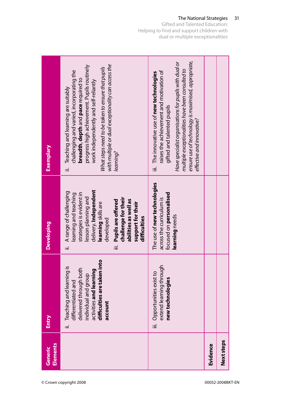### The National Strategies Gifted and Talented Education: Helping to find and support children with dual or multiple exceptionalities

31

| Elements<br>Generic | Entry                                                                                                                                                                        | <b>Developing</b>                                                                                                                                                                                                                                                                                     | Exemplary                                                                                                                                                                                                                                                                                                                                           |
|---------------------|------------------------------------------------------------------------------------------------------------------------------------------------------------------------------|-------------------------------------------------------------------------------------------------------------------------------------------------------------------------------------------------------------------------------------------------------------------------------------------------------|-----------------------------------------------------------------------------------------------------------------------------------------------------------------------------------------------------------------------------------------------------------------------------------------------------------------------------------------------------|
|                     | difficulties are taken into<br>Teaching and learning is<br>delivered through both<br>activities and learning<br>individual and group<br>differentiated and<br>account<br>$=$ | delivery. Independent<br>A range of challenging<br>strategies is evident in<br>learning and teaching<br>lesson planning and<br>challenge for their<br>abilities as well as<br><b>Pupils are offered</b><br>learning skills are<br>support for their<br>difficulties<br>developed<br><br>≔<br>$\equiv$ | with multiple or dual exceptionality can access the<br>progress high achievement. Pupils routinely<br>What steps need to be taken to ensure that pupils<br>challenging and varied, incorporating the<br>breadth, depth and pace required to<br>work independently and self-reliantly<br>Teaching and learning are suitably<br>learning?<br>$\equiv$ |
|                     | extend learning through<br>iii. Opportunities exist to<br>new technologies                                                                                                   | The use of new technologies<br>focused on personalised<br>across the curriculum is<br>learning needs                                                                                                                                                                                                  | ensure use of technology is maximised, appropriate,<br>Have specialist organisations for pupils with dual or<br>multiple exceptionalities have been consulted to<br>raises the achievement and motivation of<br>iii. The innovative use of new technologies<br>gifted and talented pupils<br>effective and innovative?                              |
| Evidence            |                                                                                                                                                                              |                                                                                                                                                                                                                                                                                                       |                                                                                                                                                                                                                                                                                                                                                     |
| Next steps          |                                                                                                                                                                              |                                                                                                                                                                                                                                                                                                       |                                                                                                                                                                                                                                                                                                                                                     |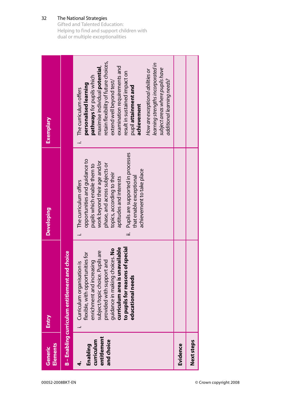Gifted and Talented Education: Helping to find and support children with dual or multiple exceptionalities

| Elements<br>Generic                                       | Entry                                                                                                                                                                                                                                                                                             | <b>Developing</b>                                                                                                                                                                                                                                                                                                  | Exemplary                                                                                                                                                                                                                                                                                                                                                                                                                                     |
|-----------------------------------------------------------|---------------------------------------------------------------------------------------------------------------------------------------------------------------------------------------------------------------------------------------------------------------------------------------------------|--------------------------------------------------------------------------------------------------------------------------------------------------------------------------------------------------------------------------------------------------------------------------------------------------------------------|-----------------------------------------------------------------------------------------------------------------------------------------------------------------------------------------------------------------------------------------------------------------------------------------------------------------------------------------------------------------------------------------------------------------------------------------------|
|                                                           | B - Enabling curriculum entitlement and choice                                                                                                                                                                                                                                                    |                                                                                                                                                                                                                                                                                                                    |                                                                                                                                                                                                                                                                                                                                                                                                                                               |
| entitlement<br>and choice<br>curriculum<br>Enabling<br>4. | vailable<br>special<br>guidance in making choices. No<br>subject/topic choice. Pupils are<br>flexible, with opportunities for<br>provided with support and<br>enrichment and increasing<br>Curriculum organisation is<br>curriculum area is unay<br>to pupils for reasons or<br>educational needs | Pupils are supported in processes<br>opportunities and quidance to<br>work beyond their age and/or<br>phase, and across subjects or<br>pupils which enable them to<br>achievement to take place<br>topics, according to their<br>that enable exceptional<br>aptitudes and interests<br>The curriculum offers<br>і= | retain flexibility of future choices,<br>learning strengths incorporated in<br>maximise individual <b>potential</b> ,<br>examination requirements and<br>subject areas where pupils have<br>How are exceptional abilities or<br>result in sustained impact on<br>pathways for pupils which<br>additional learning needs?<br>extend well beyond test/<br>personalised learning<br>pupil attainment and<br>The curriculum offers<br>achievement |
| Evidence                                                  |                                                                                                                                                                                                                                                                                                   |                                                                                                                                                                                                                                                                                                                    |                                                                                                                                                                                                                                                                                                                                                                                                                                               |
| Next steps                                                |                                                                                                                                                                                                                                                                                                   |                                                                                                                                                                                                                                                                                                                    |                                                                                                                                                                                                                                                                                                                                                                                                                                               |
|                                                           |                                                                                                                                                                                                                                                                                                   |                                                                                                                                                                                                                                                                                                                    |                                                                                                                                                                                                                                                                                                                                                                                                                                               |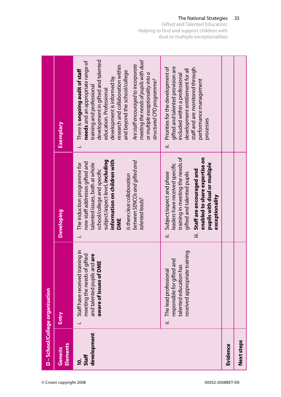Gifted and Talented Education: Helping to find and support children with dual or multiple exceptionalities

|                                 | Exemplary           | development in gifted and talented<br>meeting the needs of pupils with dual<br>needs and an appropriate range of<br>Are staff encouraged to incorporate<br>research and collaboration within<br>There is ongoing audit of staff<br>and beyond the school/college<br>or multiple exceptionality into a<br>development is informed by<br>structured CPD programme?<br>training and professional<br>education. Professional | gifted and talented provision are<br>Priorities for the development of<br>staff and are monitored through<br>development entitlement for all<br>included within a professional<br>performance management<br>processes                                                |          |            |
|---------------------------------|---------------------|--------------------------------------------------------------------------------------------------------------------------------------------------------------------------------------------------------------------------------------------------------------------------------------------------------------------------------------------------------------------------------------------------------------------------|----------------------------------------------------------------------------------------------------------------------------------------------------------------------------------------------------------------------------------------------------------------------|----------|------------|
|                                 | <b>Developing</b>   | subject/aspect level, including<br>information on children with<br>between SENCOs and gifted and<br>new staff addresses gifted and<br>The induction programme for<br>talented issues, both at whole<br>school/college and specific<br>Is there clear collaboration<br>talented leads?<br><b>DME</b>                                                                                                                      | $:=$<br>training in meeting the needs of<br>enabled to share expertise on<br>pupils with dual or multiple<br>leaders have received specific<br>Staff are encouraged and<br>gifted and talented pupils<br>Subject/aspect and phase<br>exceptionality<br>≣<br>$\equiv$ |          |            |
| D - School/College organisation | Entry               | Staff have received training in<br>meeting the needs of gifted<br>and talented pupils and are<br>aware of issues of DME                                                                                                                                                                                                                                                                                                  | received appropriate training<br>land<br>talented education has<br>The lead professional<br>responsible for gifted<br>$:=$                                                                                                                                           |          |            |
|                                 | Elements<br>Generic | development<br>Staff<br><u>io:</u>                                                                                                                                                                                                                                                                                                                                                                                       |                                                                                                                                                                                                                                                                      | Evidence | Next steps |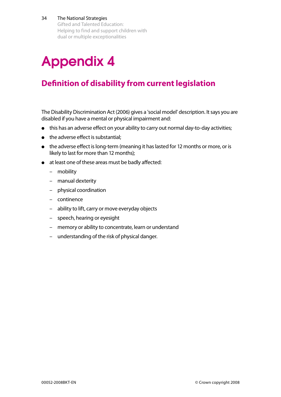Gifted and Talented Education: Helping to find and support children with dual or multiple exceptionalities

# Appendix 4

### **Definition of disability from current legislation**

The Disability Discrimination Act (2006) gives a 'social model' description. It says you are disabled if you have a mental or physical impairment and:

- this has an adverse effect on your ability to carry out normal day-to-day activities;
- the adverse effect is substantial:
- the adverse effect is long-term (meaning it has lasted for 12 months or more, or is likely to last for more than 12 months);
- at least one of these areas must be badly affected:
	- mobility
	- manual dexterity
	- physical coordination
	- continence
	- ability to lift, carry or move everyday objects
	- speech, hearing or eyesight
	- memory or ability to concentrate, learn or understand
	- understanding of the risk of physical danger.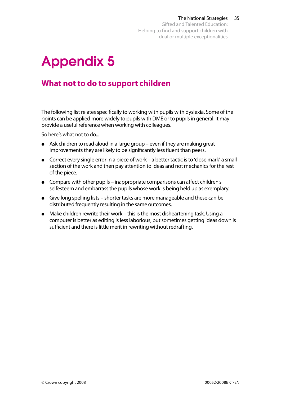Gifted and Talented Education: Helping to find and support children with dual or multiple exceptionalities

# Appendix 5

### **What not to do to support children**

The following list relates specifically to working with pupils with dyslexia. Some of the points can be applied more widely to pupils with DME or to pupils in general. It may provide a useful reference when working with colleagues.

So here's what not to do...

- Ask children to read aloud in a large group even if they are making great improvements they are likely to be significantly less fluent than peers.
- Correct every single error in a piece of work a better tactic is to 'close mark' a small section of the work and then pay attention to ideas and not mechanics for the rest of the piece.
- Compare with other pupils inappropriate comparisons can affect children's selfesteem and embarrass the pupils whose work is being held up as exemplary.
- Give long spelling lists shorter tasks are more manageable and these can be distributed frequently resulting in the same outcomes.
- Make children rewrite their work this is the most disheartening task. Using a computer is better as editing is less laborious, but sometimes getting ideas down is sufficient and there is little merit in rewriting without redrafting.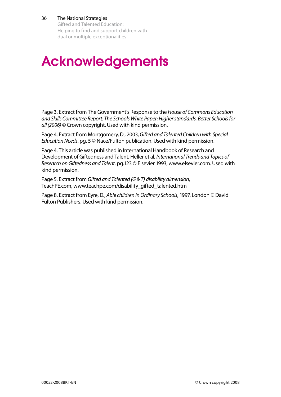Gifted and Talented Education: Helping to find and support children with dual or multiple exceptionalities

# Acknowledgements

Page 3. Extract from The Government's Response to the *House of Commons Education and Skills Committee Report: The Schools White Paper: Higher standards, Better Schools for all (2006)* © Crown copyright. Used with kind permission.

Page 4. Extract from Montgomery, D., 2003, *Gifted and Talented Children with Special Education Needs*. pg. 5 © Nace/Fulton publication. Used with kind permission.

Page 4. This article was published in International Handbook of Research and Development of Giftedness and Talent, Heller et al, *International Trends and Topics of Research on Giftedness and Talent*. pg.123 © Elsevier 1993, www.elsevier.com. Used with kind permission.

Page 5. Extract from *Gifted and Talented (G & T) disability dimension*, TeachPE.com, www.teachpe.com/disability\_gifted\_talented.htm

Page 8. Extract from Eyre, D., *Able children in Ordinary Schools*, 1997, London © David Fulton Publishers. Used with kind permission.